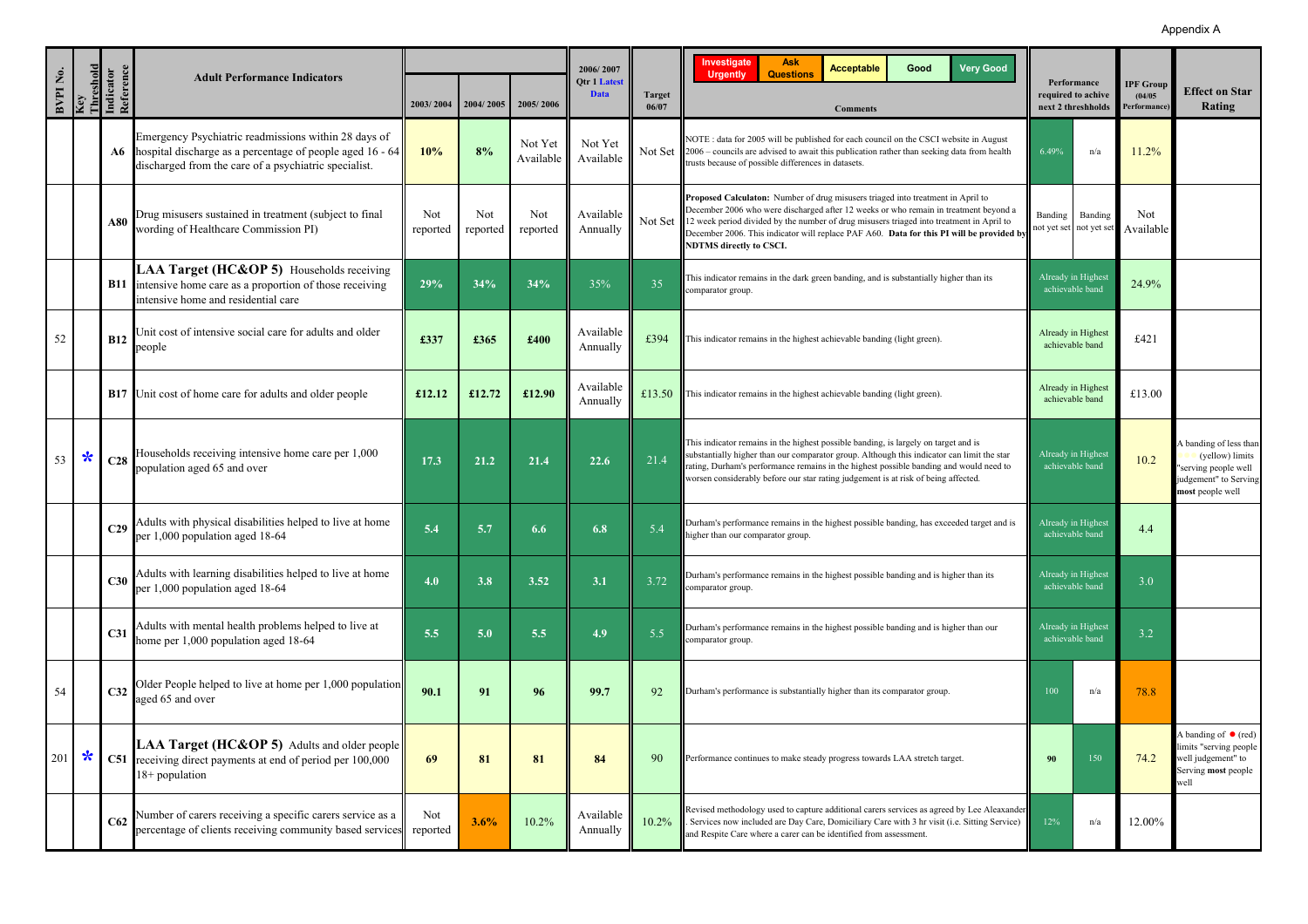## Appendix A

|                      |        |                                            |                                                                                                                                                                            |                 |                 |                      | 2006/2007                   |                 | <b>Ask</b><br>Investigate<br><b>Acceptable</b><br>Good<br><b>Very Good</b><br><b>Questions</b>                                                                                                                                                                                                                                                                                                   |                                       |                                                         |                                            |                                                                                                                |
|----------------------|--------|--------------------------------------------|----------------------------------------------------------------------------------------------------------------------------------------------------------------------------|-----------------|-----------------|----------------------|-----------------------------|-----------------|--------------------------------------------------------------------------------------------------------------------------------------------------------------------------------------------------------------------------------------------------------------------------------------------------------------------------------------------------------------------------------------------------|---------------------------------------|---------------------------------------------------------|--------------------------------------------|----------------------------------------------------------------------------------------------------------------|
| BVPIN <sub>0</sub> . |        | Key<br>Threshold<br>Indicator<br>Reference | <b>Adult Performance Indicators</b>                                                                                                                                        | 2003/2004       | 2004/2005       | 2005/2006            | Otr 1 Latest<br><b>Data</b> | Target<br>06/07 | <b>Urgently</b><br><b>Comments</b>                                                                                                                                                                                                                                                                                                                                                               |                                       | Performance<br>required to achive<br>next 2 threshholds | <b>IPF Group</b><br>(04/05)<br>Performance | <b>Effect on Star</b><br>Rating                                                                                |
|                      |        | A6                                         | Emergency Psychiatric readmissions within 28 days of<br>hospital discharge as a percentage of people aged 16 - 64<br>discharged from the care of a psychiatric specialist. | 10%             | 8%              | Not Yet<br>Available | Not Yet<br>Available        | Not Set         | NOTE: data for 2005 will be published for each council on the CSCI website in August<br>2006 – councils are advised to await this publication rather than seeking data from health<br>trusts because of possible differences in datasets.                                                                                                                                                        | 6.49%                                 | n/a                                                     | 11.2%                                      |                                                                                                                |
|                      |        | A80                                        | Drug misusers sustained in treatment (subject to final<br>wording of Healthcare Commission PI)                                                                             | Not<br>reported | Not<br>reported | Not<br>reported      | Available<br>Annually       | Not Set 1       | Proposed Calculaton: Number of drug misusers triaged into treatment in April to<br>December 2006 who were discharged after 12 weeks or who remain in treatment beyond a<br>12 week period divided by the number of drug misusers triaged into treatment in April to<br>December 2006. This indicator will replace PAF A60. Data for this PI will be provided b<br><b>NDTMS</b> directly to CSCI. | Banding                               | Banding<br>not yet set not yet set                      | Not<br>Available                           |                                                                                                                |
|                      |        | <b>B11</b>                                 | LAA Target (HC&OP 5) Households receiving<br>intensive home care as a proportion of those receiving<br>intensive home and residential care                                 | 29%             | 34%             | 34%                  | 35%                         | 35              | This indicator remains in the dark green banding, and is substantially higher than its<br>comparator group.                                                                                                                                                                                                                                                                                      |                                       | Already in Highest<br>achievable band                   | 24.9%                                      |                                                                                                                |
| 52                   |        | <b>B12</b>                                 | Unit cost of intensive social care for adults and older<br>people                                                                                                          | £337            | £365            | £400                 | Available<br>Annually       | £394            | This indicator remains in the highest achievable banding (light green)                                                                                                                                                                                                                                                                                                                           | Already in Highest<br>achievable band |                                                         | £421                                       |                                                                                                                |
|                      |        |                                            | <b>B17</b> Unit cost of home care for adults and older people                                                                                                              | £12.12          | £12.72          | £12.90               | Available<br>Annually       | £13.50          | This indicator remains in the highest achievable banding (light green)                                                                                                                                                                                                                                                                                                                           | Already in Highest<br>achievable band |                                                         | £13.00                                     |                                                                                                                |
| 53                   | $\ast$ | C28                                        | Households receiving intensive home care per 1,000<br>population aged 65 and over                                                                                          | 17.3            | 21.2            | 21.4                 | 22.6                        | 21.4            | This indicator remains in the highest possible banding, is largely on target and is<br>substantially higher than our comparator group. Although this indicator can limit the star<br>rating, Durham's performance remains in the highest possible banding and would need to<br>worsen considerably before our star rating judgement is at risk of being affected.                                |                                       | Already in Highest<br>achievable band                   | 10.2                                       | A banding of less than<br>(yellow) limits<br>'serving people well<br>judgement" to Serving<br>most people well |
|                      |        | C <sub>29</sub>                            | Adults with physical disabilities helped to live at home<br>per 1,000 population aged 18-64                                                                                | 5.4             | 5.7             | 6.6                  | 6.8                         | 5.4             | Durham's performance remains in the highest possible banding, has exceeded target and is<br>higher than our comparator group.                                                                                                                                                                                                                                                                    | Already in Highes<br>achievable band  |                                                         | 4.4                                        |                                                                                                                |
|                      |        | C30                                        | Adults with learning disabilities helped to live at home<br>per 1,000 population aged 18-64                                                                                | 4.0             | 3.8             | 3.52                 | 3.1                         | 3.72            | Durham's performance remains in the highest possible banding and is higher than its<br>comparator group.                                                                                                                                                                                                                                                                                         | Already in Highest<br>achievable band |                                                         | 3.0                                        |                                                                                                                |
|                      |        | C <sub>31</sub>                            | Adults with mental health problems helped to live at<br>home per 1,000 population aged 18-64                                                                               | 5.5             | 5.0             | 5.5                  | 4.9                         | 5.5             | Durham's performance remains in the highest possible banding and is higher than our<br>comparator group.                                                                                                                                                                                                                                                                                         | Already in Highest<br>achievable band |                                                         | 3.2                                        |                                                                                                                |
| 54                   |        | C32                                        | Older People helped to live at home per 1,000 population<br>aged 65 and over                                                                                               | 90.1            | 91              | 96                   | 99.7                        | 92              | Durham's performance is substantially higher than its comparator group                                                                                                                                                                                                                                                                                                                           | 100                                   | n/a                                                     | 78.8                                       |                                                                                                                |
| 201                  | $\ast$ |                                            | LAA Target (HC&OP 5) Adults and older people<br>C51 receiving direct payments at end of period per 100,000<br>$18+$ population                                             | 69              | 81              | 81                   | 84                          | 90              | Performance continues to make steady progress towards LAA stretch target.                                                                                                                                                                                                                                                                                                                        | 90                                    | 150                                                     | 74.2                                       | A banding of $\bullet$ (red)<br>limits "serving people<br>well judgement" to<br>Serving most people<br>well    |
|                      |        | C62                                        | Number of carers receiving a specific carers service as a<br>percentage of clients receiving community based services                                                      | Not<br>reported | 3.6%            | 10.2%                | Available<br>Annually       | 10.2%           | Revised methodology used to capture additional carers services as agreed by Lee Aleaxander<br>Services now included are Day Care, Domiciliary Care with 3 hr visit (i.e. Sitting Service)<br>and Respite Care where a carer can be identified from assessment.                                                                                                                                   | 12%                                   | n/a                                                     | 12.00%                                     |                                                                                                                |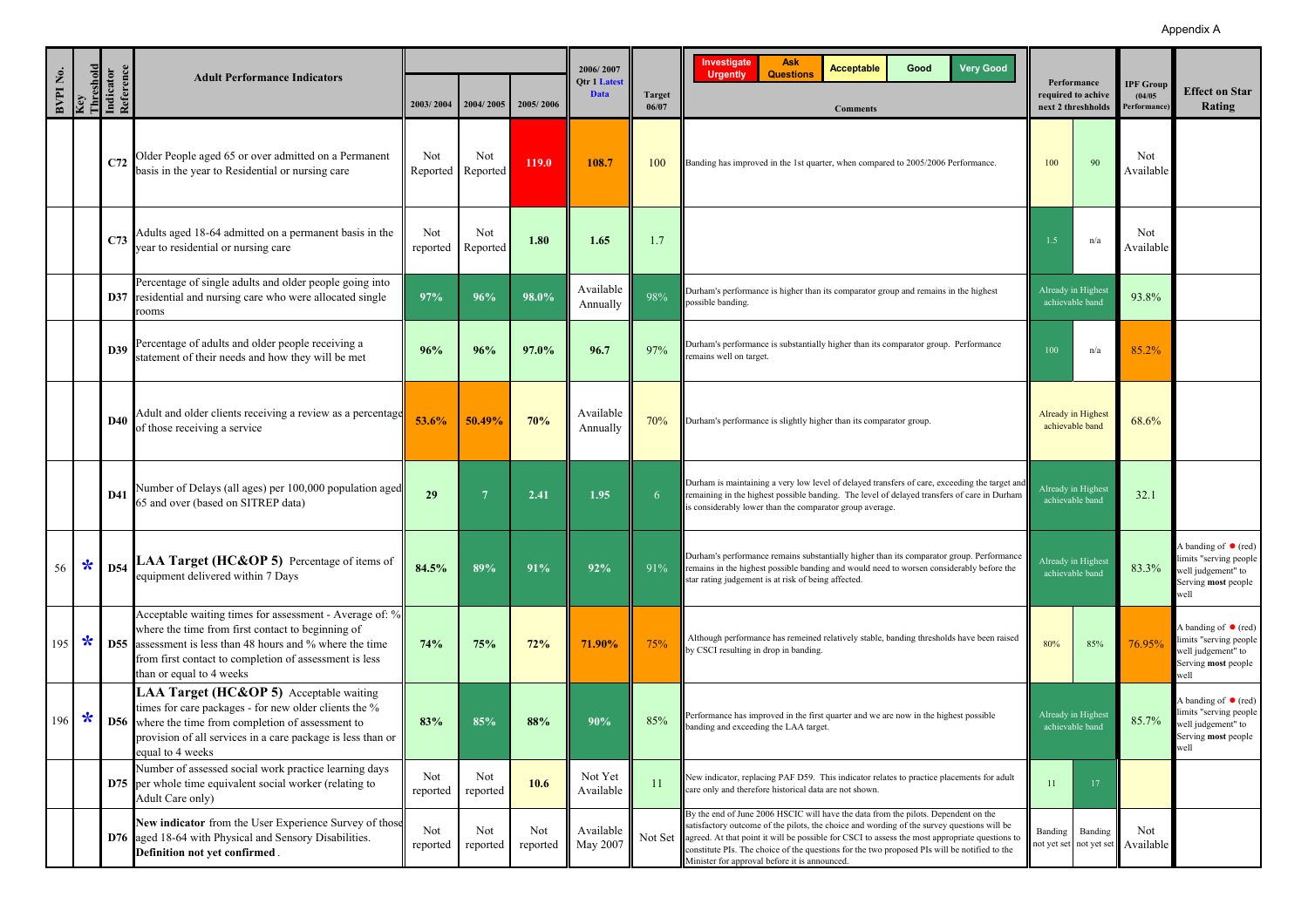|                      |               |                                            |                                                                                                                                                                                                                                                                        |                 |                 |                 | 2006/2007                   |                        | <b>Investigate</b><br><b>Ask</b><br><b>Very Good</b><br><b>Acceptable</b><br>Good                                                                                                                                                                                                                                                                                                                                                           |                                                         |                                       |                                            |                                                                                                             |
|----------------------|---------------|--------------------------------------------|------------------------------------------------------------------------------------------------------------------------------------------------------------------------------------------------------------------------------------------------------------------------|-----------------|-----------------|-----------------|-----------------------------|------------------------|---------------------------------------------------------------------------------------------------------------------------------------------------------------------------------------------------------------------------------------------------------------------------------------------------------------------------------------------------------------------------------------------------------------------------------------------|---------------------------------------------------------|---------------------------------------|--------------------------------------------|-------------------------------------------------------------------------------------------------------------|
| BVPIN <sub>0</sub> . |               | Key<br>Threshold<br>Indicator<br>Reference | <b>Adult Performance Indicators</b>                                                                                                                                                                                                                                    | 2003/2004       | 2004/2005       | 2005/2006       | Qtr 1 Latest<br><b>Data</b> | <b>Target</b><br>06/07 | <b>Questions</b><br><b>Urgently</b><br><b>Comments</b>                                                                                                                                                                                                                                                                                                                                                                                      | Performance<br>required to achive<br>next 2 threshholds |                                       | <b>IPF Group</b><br>(04/05)<br>Performance | <b>Effect on Star</b><br>Rating                                                                             |
|                      |               | C72                                        | Older People aged 65 or over admitted on a Permanent<br>basis in the year to Residential or nursing care                                                                                                                                                               | Not<br>Reported | Not<br>Reported | 119.0           | 108.7                       | 100                    | Banding has improved in the 1st quarter, when compared to 2005/2006 Performance.                                                                                                                                                                                                                                                                                                                                                            | 100                                                     | 90                                    | Not<br>Available                           |                                                                                                             |
|                      |               | C <sub>73</sub>                            | Adults aged 18-64 admitted on a permanent basis in the<br>year to residential or nursing care                                                                                                                                                                          | Not<br>reported | Not<br>Reported | 1.80            | 1.65                        | 1.7                    |                                                                                                                                                                                                                                                                                                                                                                                                                                             | 1.5                                                     | n/a                                   | Not<br>Available                           |                                                                                                             |
|                      |               |                                            | Percentage of single adults and older people going into<br>D37 residential and nursing care who were allocated single<br>rooms                                                                                                                                         | 97%             | 96%             | 98.0%           | Available<br>Annually       | 98%                    | Durham's performance is higher than its comparator group and remains in the highest<br>possible banding.                                                                                                                                                                                                                                                                                                                                    |                                                         | Already in Highest<br>achievable band | 93.8%                                      |                                                                                                             |
|                      |               | D39                                        | Percentage of adults and older people receiving a<br>statement of their needs and how they will be met                                                                                                                                                                 | 96%             | 96%             | 97.0%           | 96.7                        | 97%                    | Durham's performance is substantially higher than its comparator group. Performance<br>emains well on target                                                                                                                                                                                                                                                                                                                                | 100                                                     | n/a                                   | 85.2%                                      |                                                                                                             |
|                      |               | <b>D40</b>                                 | Adult and older clients receiving a review as a percentage<br>of those receiving a service                                                                                                                                                                             | 53.6%           | 50.49%          | 70%             | Available<br>Annually       | 70%                    | Durham's performance is slightly higher than its comparator group.                                                                                                                                                                                                                                                                                                                                                                          |                                                         | Already in Highest<br>achievable band | 68.6%                                      |                                                                                                             |
|                      |               | <b>D41</b>                                 | Number of Delays (all ages) per 100,000 population aged<br>65 and over (based on SITREP data)                                                                                                                                                                          | 29              | $7\phantom{.0}$ | 2.41            | 1.95                        | 6                      | Durham is maintaining a very low level of delayed transfers of care, exceeding the target and<br>remaining in the highest possible banding. The level of delayed transfers of care in Durham<br>is considerably lower than the comparator group average.                                                                                                                                                                                    |                                                         | Already in Highest<br>achievable band | 32.1                                       |                                                                                                             |
|                      |               |                                            | 56 * D54 LAA Target (HC&OP 5) Percentage of items of<br>equipment delivered within 7 Days                                                                                                                                                                              | 84.5%           | 89%             | 91%             | 92%                         | 91%                    | Durham's performance remains substantially higher than its comparator group. Performance<br>remains in the highest possible banding and would need to worsen considerably before the<br>star rating judgement is at risk of being affected.                                                                                                                                                                                                 |                                                         | Already in Highest<br>achievable band | 83.3%                                      | A banding of $\bullet$ (red)<br>limits "serving people<br>well judgement" to<br>Serving most people<br>vell |
| $195$ $\star$        |               |                                            | Acceptable waiting times for assessment - Average of: %<br>where the time from first contact to beginning of<br><b>D55</b> assessment is less than 48 hours and % where the time<br>from first contact to completion of assessment is less<br>than or equal to 4 weeks | 74%             | 75%             | 72%             | 71.90%                      | 75%                    | Although performance has remeined relatively stable, banding thresholds have been raised<br>by CSCI resulting in drop in banding.                                                                                                                                                                                                                                                                                                           | 80%                                                     | 85%                                   | 76.95%                                     | A banding of $\bullet$ (red)<br>limits "serving people<br>well judgement" to<br>Serving most people<br>well |
|                      | $196$ $\star$ |                                            | LAA Target (HC&OP 5) Acceptable waiting<br>times for care packages - for new older clients the %<br><b>D56</b> where the time from completion of assessment to<br>provision of all services in a care package is less than or<br>equal to 4 weeks                      | 83%             | 85%             | 88%             | 90%                         | 85%                    | Performance has improved in the first quarter and we are now in the highest possible<br>panding and exceeding the LAA target.                                                                                                                                                                                                                                                                                                               | achievable band                                         | Already in Highest                    | 85.7%                                      | A banding of $\bullet$ (red)<br>limits "serving people<br>well judgement" to<br>Serving most people<br>well |
|                      |               |                                            | Number of assessed social work practice learning days<br><b>D75</b> per whole time equivalent social worker (relating to<br>Adult Care only)                                                                                                                           | Not<br>reported | Not<br>reported | 10.6            | Not Yet<br>Available        | 11                     | New indicator, replacing PAF D59. This indicator relates to practice placements for adult<br>care only and therefore historical data are not shown.                                                                                                                                                                                                                                                                                         | 11                                                      | 17                                    |                                            |                                                                                                             |
|                      |               |                                            | New indicator from the User Experience Survey of those<br>D76 aged 18-64 with Physical and Sensory Disabilities.<br>Definition not yet confirmed.                                                                                                                      | Not<br>reported | Not<br>reported | Not<br>reported | Available<br>May 2007       |                        | By the end of June 2006 HSCIC will have the data from the pilots. Dependent on the<br>satisfactory outcome of the pilots, the choice and wording of the survey questions will be<br>Not Set agreed. At that point it will be possible for CSCI to assess the most appropriate questions to<br>constitute PIs. The choice of the questions for the two proposed PIs will be notified to the<br>Minister for approval before it is announced. | Banding<br>not yet set                                  | Banding<br>not yet set                | Not<br>Available                           |                                                                                                             |